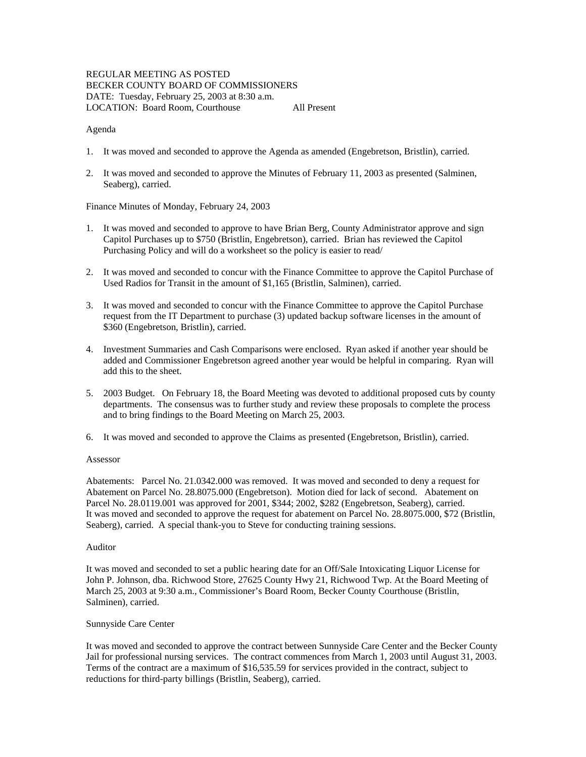# REGULAR MEETING AS POSTED BECKER COUNTY BOARD OF COMMISSIONERS DATE: Tuesday, February 25, 2003 at 8:30 a.m. LOCATION: Board Room, Courthouse All Present

#### Agenda

- 1. It was moved and seconded to approve the Agenda as amended (Engebretson, Bristlin), carried.
- 2. It was moved and seconded to approve the Minutes of February 11, 2003 as presented (Salminen, Seaberg), carried.

Finance Minutes of Monday, February 24, 2003

- 1. It was moved and seconded to approve to have Brian Berg, County Administrator approve and sign Capitol Purchases up to \$750 (Bristlin, Engebretson), carried. Brian has reviewed the Capitol Purchasing Policy and will do a worksheet so the policy is easier to read/
- 2. It was moved and seconded to concur with the Finance Committee to approve the Capitol Purchase of Used Radios for Transit in the amount of \$1,165 (Bristlin, Salminen), carried.
- 3. It was moved and seconded to concur with the Finance Committee to approve the Capitol Purchase request from the IT Department to purchase (3) updated backup software licenses in the amount of \$360 (Engebretson, Bristlin), carried.
- 4. Investment Summaries and Cash Comparisons were enclosed. Ryan asked if another year should be added and Commissioner Engebretson agreed another year would be helpful in comparing. Ryan will add this to the sheet.
- 5. 2003 Budget. On February 18, the Board Meeting was devoted to additional proposed cuts by county departments. The consensus was to further study and review these proposals to complete the process and to bring findings to the Board Meeting on March 25, 2003.
- 6. It was moved and seconded to approve the Claims as presented (Engebretson, Bristlin), carried.

#### Assessor

Abatements: Parcel No. 21.0342.000 was removed. It was moved and seconded to deny a request for Abatement on Parcel No. 28.8075.000 (Engebretson). Motion died for lack of second. Abatement on Parcel No. 28.0119.001 was approved for 2001, \$344; 2002, \$282 (Engebretson, Seaberg), carried. It was moved and seconded to approve the request for abatement on Parcel No. 28.8075.000, \$72 (Bristlin, Seaberg), carried. A special thank-you to Steve for conducting training sessions.

### Auditor

It was moved and seconded to set a public hearing date for an Off/Sale Intoxicating Liquor License for John P. Johnson, dba. Richwood Store, 27625 County Hwy 21, Richwood Twp. At the Board Meeting of March 25, 2003 at 9:30 a.m., Commissioner's Board Room, Becker County Courthouse (Bristlin, Salminen), carried.

### Sunnyside Care Center

It was moved and seconded to approve the contract between Sunnyside Care Center and the Becker County Jail for professional nursing services. The contract commences from March 1, 2003 until August 31, 2003. Terms of the contract are a maximum of \$16,535.59 for services provided in the contract, subject to reductions for third-party billings (Bristlin, Seaberg), carried.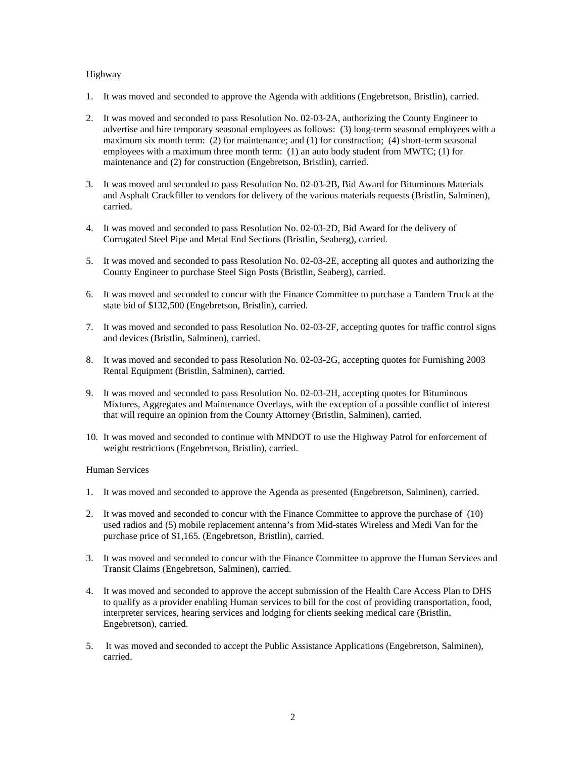## Highway

- 1. It was moved and seconded to approve the Agenda with additions (Engebretson, Bristlin), carried.
- 2. It was moved and seconded to pass Resolution No. 02-03-2A, authorizing the County Engineer to advertise and hire temporary seasonal employees as follows: (3) long-term seasonal employees with a maximum six month term: (2) for maintenance; and (1) for construction; (4) short-term seasonal employees with a maximum three month term: (1) an auto body student from MWTC; (1) for maintenance and (2) for construction (Engebretson, Bristlin), carried.
- 3. It was moved and seconded to pass Resolution No. 02-03-2B, Bid Award for Bituminous Materials and Asphalt Crackfiller to vendors for delivery of the various materials requests (Bristlin, Salminen), carried.
- 4. It was moved and seconded to pass Resolution No. 02-03-2D, Bid Award for the delivery of Corrugated Steel Pipe and Metal End Sections (Bristlin, Seaberg), carried.
- 5. It was moved and seconded to pass Resolution No. 02-03-2E, accepting all quotes and authorizing the County Engineer to purchase Steel Sign Posts (Bristlin, Seaberg), carried.
- 6. It was moved and seconded to concur with the Finance Committee to purchase a Tandem Truck at the state bid of \$132,500 (Engebretson, Bristlin), carried.
- 7. It was moved and seconded to pass Resolution No. 02-03-2F, accepting quotes for traffic control signs and devices (Bristlin, Salminen), carried.
- 8. It was moved and seconded to pass Resolution No. 02-03-2G, accepting quotes for Furnishing 2003 Rental Equipment (Bristlin, Salminen), carried.
- 9. It was moved and seconded to pass Resolution No. 02-03-2H, accepting quotes for Bituminous Mixtures, Aggregates and Maintenance Overlays, with the exception of a possible conflict of interest that will require an opinion from the County Attorney (Bristlin, Salminen), carried.
- 10. It was moved and seconded to continue with MNDOT to use the Highway Patrol for enforcement of weight restrictions (Engebretson, Bristlin), carried.

### Human Services

- 1. It was moved and seconded to approve the Agenda as presented (Engebretson, Salminen), carried.
- 2. It was moved and seconded to concur with the Finance Committee to approve the purchase of (10) used radios and (5) mobile replacement antenna's from Mid-states Wireless and Medi Van for the purchase price of \$1,165. (Engebretson, Bristlin), carried.
- 3. It was moved and seconded to concur with the Finance Committee to approve the Human Services and Transit Claims (Engebretson, Salminen), carried.
- 4. It was moved and seconded to approve the accept submission of the Health Care Access Plan to DHS to qualify as a provider enabling Human services to bill for the cost of providing transportation, food, interpreter services, hearing services and lodging for clients seeking medical care (Bristlin, Engebretson), carried.
- 5. It was moved and seconded to accept the Public Assistance Applications (Engebretson, Salminen), carried.